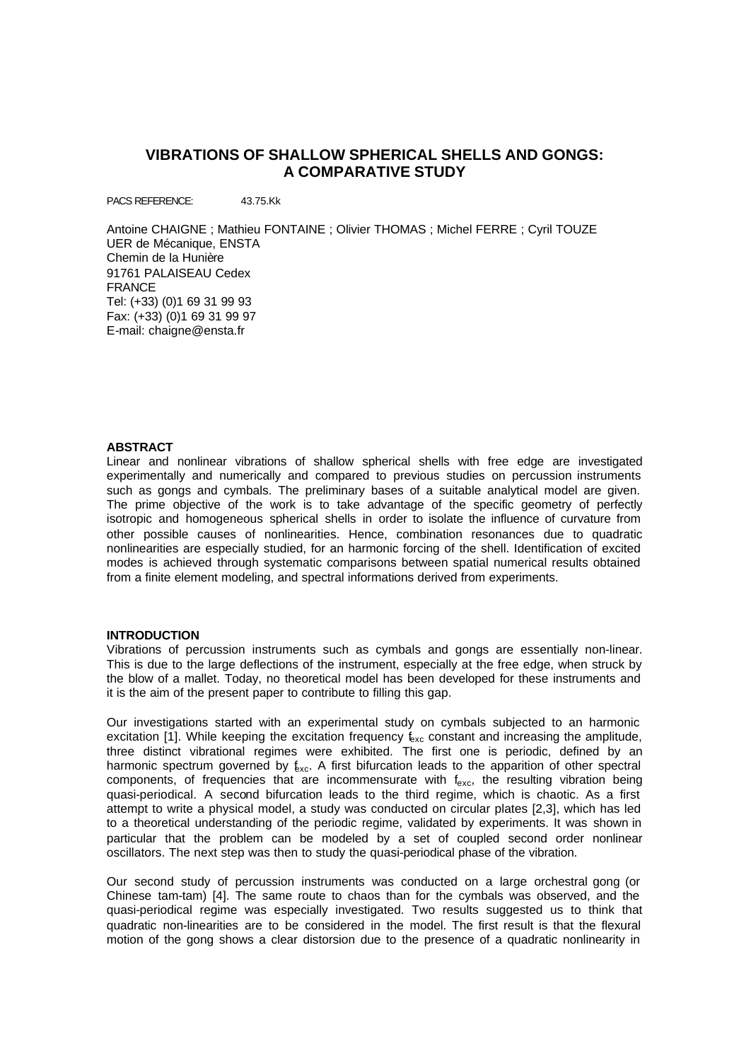# **VIBRATIONS OF SHALLOW SPHERICAL SHELLS AND GONGS: A COMPARATIVE STUDY**

PACS REFERENCE: 43.75.Kk

Antoine CHAIGNE ; Mathieu FONTAINE ; Olivier THOMAS ; Michel FERRE ; Cyril TOUZE UER de Mécanique, ENSTA Chemin de la Hunière 91761 PALAISEAU Cedex FRANCE Tel: (+33) (0)1 69 31 99 93 Fax: (+33) (0)1 69 31 99 97 E-mail: chaigne@ensta.fr

## **ABSTRACT**

Linear and nonlinear vibrations of shallow spherical shells with free edge are investigated experimentally and numerically and compared to previous studies on percussion instruments such as gongs and cymbals. The preliminary bases of a suitable analytical model are given. The prime objective of the work is to take advantage of the specific geometry of perfectly isotropic and homogeneous spherical shells in order to isolate the influence of curvature from other possible causes of nonlinearities. Hence, combination resonances due to quadratic nonlinearities are especially studied, for an harmonic forcing of the shell. Identification of excited modes is achieved through systematic comparisons between spatial numerical results obtained from a finite element modeling, and spectral informations derived from experiments.

# **INTRODUCTION**

Vibrations of percussion instruments such as cymbals and gongs are essentially non-linear. This is due to the large deflections of the instrument, especially at the free edge, when struck by the blow of a mallet. Today, no theoretical model has been developed for these instruments and it is the aim of the present paper to contribute to filling this gap.

Our investigations started with an experimental study on cymbals subjected to an harmonic excitation [1]. While keeping the excitation frequency  $f_{\text{exc}}$  constant and increasing the amplitude, three distinct vibrational regimes were exhibited. The first one is periodic, defined by an harmonic spectrum governed by  $f_{\text{xc}}$ . A first bifurcation leads to the apparition of other spectral components, of frequencies that are incommensurate with  $f_{\text{exc}}$ , the resulting vibration being quasi-periodical. A second bifurcation leads to the third regime, which is chaotic. As a first attempt to write a physical model, a study was conducted on circular plates [2,3], which has led to a theoretical understanding of the periodic regime, validated by experiments. It was shown in particular that the problem can be modeled by a set of coupled second order nonlinear oscillators. The next step was then to study the quasi-periodical phase of the vibration.

Our second study of percussion instruments was conducted on a large orchestral gong (or Chinese tam-tam) [4]. The same route to chaos than for the cymbals was observed, and the quasi-periodical regime was especially investigated. Two results suggested us to think that quadratic non-linearities are to be considered in the model. The first result is that the flexural motion of the gong shows a clear distorsion due to the presence of a quadratic nonlinearity in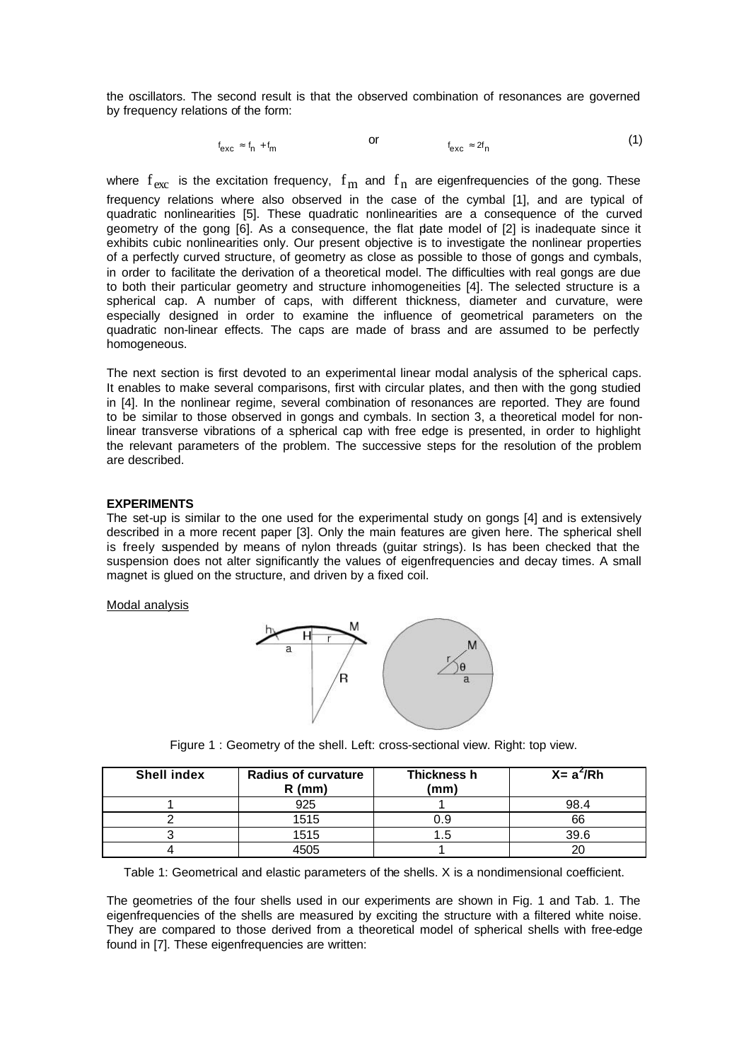the oscillators. The second result is that the observed combination of resonances are governed by frequency relations of the form:

$$
f_{\text{exc}} \approx f_n + f_m \qquad \qquad \text{or} \qquad \qquad f_{\text{exc}} \approx 2f_n \qquad \qquad (1)
$$

where  $f_{\rm exc}$  is the excitation frequency,  $f_{\rm m}$  and  $f_{\rm n}$  are eigenfrequencies of the gong. These frequency relations where also observed in the case of the cymbal [1], and are typical of quadratic nonlinearities [5]. These quadratic nonlinearities are a consequence of the curved geometry of the gong [6]. As a consequence, the flat plate model of [2] is inadequate since it exhibits cubic nonlinearities only. Our present objective is to investigate the nonlinear properties of a perfectly curved structure, of geometry as close as possible to those of gongs and cymbals, in order to facilitate the derivation of a theoretical model. The difficulties with real gongs are due to both their particular geometry and structure inhomogeneities [4]. The selected structure is a spherical cap. A number of caps, with different thickness, diameter and curvature, were especially designed in order to examine the influence of geometrical parameters on the quadratic non-linear effects. The caps are made of brass and are assumed to be perfectly homogeneous.

The next section is first devoted to an experimental linear modal analysis of the spherical caps. It enables to make several comparisons, first with circular plates, and then with the gong studied in [4]. In the nonlinear regime, several combination of resonances are reported. They are found to be similar to those observed in gongs and cymbals. In section 3, a theoretical model for nonlinear transverse vibrations of a spherical cap with free edge is presented, in order to highlight the relevant parameters of the problem. The successive steps for the resolution of the problem are described.

# **EXPERIMENTS**

The set-up is similar to the one used for the experimental study on gongs [4] and is extensively described in a more recent paper [3]. Only the main features are given here. The spherical shell is freely suspended by means of nylon threads (guitar strings). Is has been checked that the suspension does not alter significantly the values of eigenfrequencies and decay times. A small magnet is glued on the structure, and driven by a fixed coil.

#### Modal analysis



Figure 1 : Geometry of the shell. Left: cross-sectional view. Right: top view.

| <b>Shell index</b> | <b>Radius of curvature</b><br>$R$ (mm) | Thickness h<br>(mm) | $X = a^2/Rh$ |
|--------------------|----------------------------------------|---------------------|--------------|
|                    | 925                                    |                     | 98.4         |
|                    | 1515                                   | 0.9                 | 66           |
|                    | 1515                                   | ن. ا                | 39.6         |
|                    |                                        |                     |              |

Table 1: Geometrical and elastic parameters of the shells. X is a nondimensional coefficient.

The geometries of the four shells used in our experiments are shown in Fig. 1 and Tab. 1. The eigenfrequencies of the shells are measured by exciting the structure with a filtered white noise. They are compared to those derived from a theoretical model of spherical shells with free-edge found in [7]. These eigenfrequencies are written: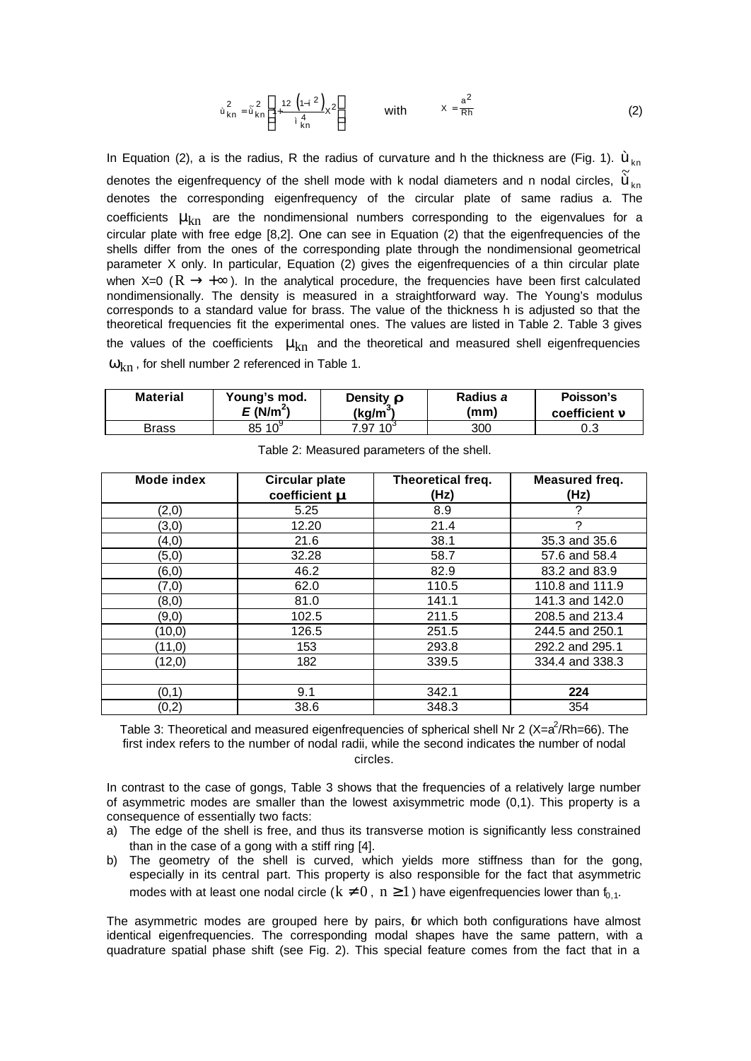$$
\dot{u}_{kn}^2 = \tilde{u}_{kn}^2 \left[ 1 + \frac{12 \left( 1 - i^2 \right)}{i \frac{4}{kn}} x^2 \right] \qquad \text{with} \qquad x = \frac{a^2}{Rh} \tag{2}
$$

In Equation (2), a is the radius, R the radius of curvature and h the thickness are (Fig. 1).  $\dot{u}_{kn}$ denotes the eigenfrequency of the shell mode with k nodal diameters and n nodal circles,  $\tilde{\bm{\mathsf{u}}}_{\bm{\mathsf{k}}\bm{\mathsf{n}}}$ denotes the corresponding eigenfrequency of the circular plate of same radius a. The coefficients  $\mu_{kn}$  are the nondimensional numbers corresponding to the eigenvalues for a circular plate with free edge [8,2]. One can see in Equation (2) that the eigenfrequencies of the shells differ from the ones of the corresponding plate through the nondimensional geometrical parameter X only. In particular, Equation (2) gives the eigenfrequencies of a thin circular plate when X=0 ( $\rm R \rightarrow +\infty$ ). In the analytical procedure, the frequencies have been first calculated nondimensionally. The density is measured in a straightforward way. The Young's modulus corresponds to a standard value for brass. The value of the thickness h is adjusted so that the theoretical frequencies fit the experimental ones. The values are listed in Table 2. Table 3 gives the values of the coefficients  $\mu_{kn}$  and the theoretical and measured shell eigenfrequencies  $\omega_{\rm kn}$ , for shell number 2 referenced in Table 1.

| <b>Material</b> | Young's mod.         | Density $\mathbf{r}$ | Radius a | Poisson's            |
|-----------------|----------------------|----------------------|----------|----------------------|
|                 | E(N/m <sup>2</sup> ) | (ka/mʾ               | (mm)     | coefficient <b>n</b> |
| Brass           | $10^5$<br>85         | $10^{\circ}$<br>7.97 | 300      | U.J                  |

| Mode index | <b>Circular plate</b><br>coefficient m | Theoretical freq.<br>(Hz) | Measured freq.<br>(Hz) |
|------------|----------------------------------------|---------------------------|------------------------|
| (2,0)      | 5.25                                   | 8.9                       | 2                      |
| (3,0)      | 12.20                                  | 21.4                      | 2                      |
| (4, 0)     | 21.6                                   | 38.1                      | 35.3 and 35.6          |
| (5,0)      | 32.28                                  | 58.7                      | 57.6 and 58.4          |
| (6, 0)     | 46.2                                   | 82.9                      | 83.2 and 83.9          |
| (7, 0)     | 62.0                                   | 110.5                     | 110.8 and 111.9        |
| (8, 0)     | 81.0                                   | 141.1                     | 141.3 and 142.0        |
| (9,0)      | 102.5                                  | 211.5                     | 208.5 and 213.4        |
| (10, 0)    | 126.5                                  | 251.5                     | 244.5 and 250.1        |
| (11,0)     | 153                                    | 293.8                     | 292.2 and 295.1        |
| (12,0)     | 182                                    | 339.5                     | 334.4 and 338.3        |
|            |                                        |                           |                        |
| (0,1)      | 9.1                                    | 342.1                     | 224                    |
| (0,2)      | 38.6                                   | 348.3                     | 354                    |

Table 2: Measured parameters of the shell.

Table 3: Theoretical and measured eigenfrequencies of spherical shell Nr 2 (X=a<sup>2</sup>/Rh=66). The first index refers to the number of nodal radii, while the second indicates the number of nodal circles.

In contrast to the case of gongs, Table 3 shows that the frequencies of a relatively large number of asymmetric modes are smaller than the lowest axisymmetric mode (0,1). This property is a consequence of essentially two facts:

- a) The edge of the shell is free, and thus its transverse motion is significantly less constrained than in the case of a gong with a stiff ring [4].
- b) The geometry of the shell is curved, which yields more stiffness than for the gong, especially in its central part. This property is also responsible for the fact that asymmetric modes with at least one nodal circle ( $k \neq 0$ ,  $n \geq 1$ ) have eigenfrequencies lower than  $f_{0,1}$ .

The asymmetric modes are grouped here by pairs, br which both configurations have almost identical eigenfrequencies. The corresponding modal shapes have the same pattern, with a quadrature spatial phase shift (see Fig. 2). This special feature comes from the fact that in a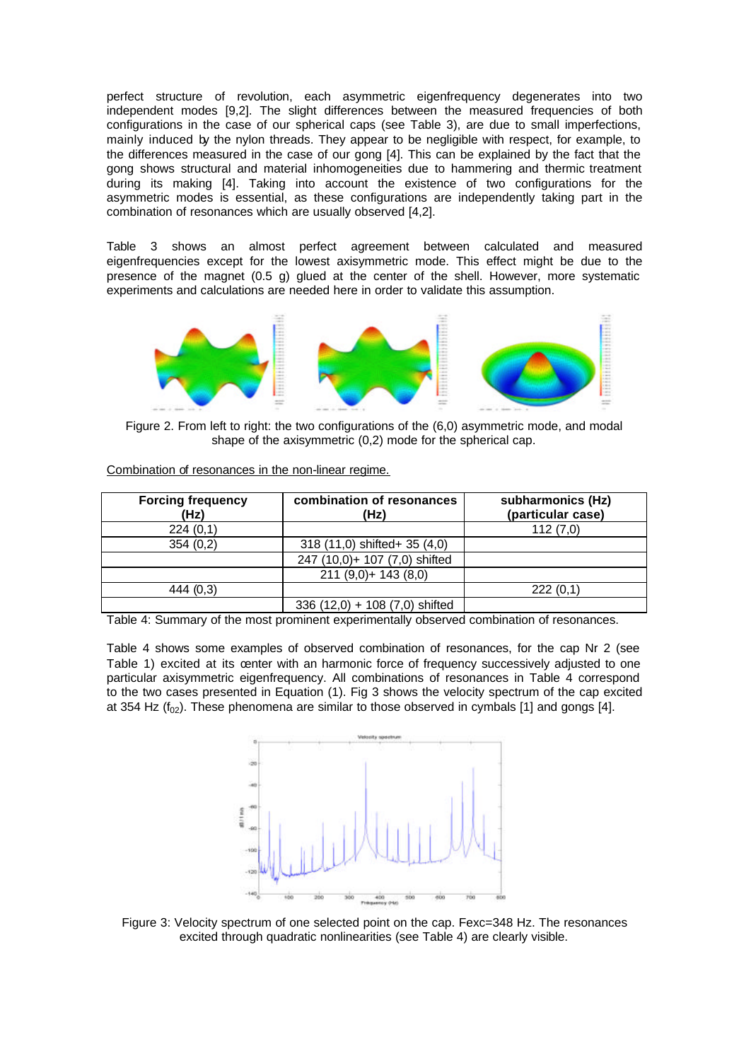perfect structure of revolution, each asymmetric eigenfrequency degenerates into two independent modes [9,2]. The slight differences between the measured frequencies of both configurations in the case of our spherical caps (see Table 3), are due to small imperfections, mainly induced by the nylon threads. They appear to be negligible with respect, for example, to the differences measured in the case of our gong [4]. This can be explained by the fact that the gong shows structural and material inhomogeneities due to hammering and thermic treatment during its making [4]. Taking into account the existence of two configurations for the asymmetric modes is essential, as these configurations are independently taking part in the combination of resonances which are usually observed [4,2].

Table 3 shows an almost perfect agreement between calculated and measured eigenfrequencies except for the lowest axisymmetric mode. This effect might be due to the presence of the magnet (0.5 g) glued at the center of the shell. However, more systematic experiments and calculations are needed here in order to validate this assumption.



Figure 2. From left to right: the two configurations of the (6,0) asymmetric mode, and modal shape of the axisymmetric (0,2) mode for the spherical cap.

| <b>Forcing frequency</b><br>(Hz) | combination of resonances<br>(Hz) | subharmonics (Hz)<br>(particular case) |
|----------------------------------|-----------------------------------|----------------------------------------|
| 224(0,1)                         |                                   | 112(7,0)                               |
| 354(0,2)                         | 318 (11,0) shifted+ 35 (4,0)      |                                        |
|                                  | 247 (10,0)+ 107 (7,0) shifted     |                                        |
|                                  | $211 (9,0) + 143 (8,0)$           |                                        |
| 444 (0,3)                        |                                   | 222(0,1)                               |
|                                  | $336(12,0) + 108(7,0)$ shifted    |                                        |

Combination of resonances in the non-linear regime.

Table 4: Summary of the most prominent experimentally observed combination of resonances.

Table 4 shows some examples of observed combination of resonances, for the cap Nr 2 (see Table 1) excited at its center with an harmonic force of frequency successively adjusted to one particular axisymmetric eigenfrequency. All combinations of resonances in Table 4 correspond to the two cases presented in Equation (1). Fig 3 shows the velocity spectrum of the cap excited at 354 Hz ( $f_{02}$ ). These phenomena are similar to those observed in cymbals [1] and gongs [4].



Figure 3: Velocity spectrum of one selected point on the cap. Fexc=348 Hz. The resonances excited through quadratic nonlinearities (see Table 4) are clearly visible.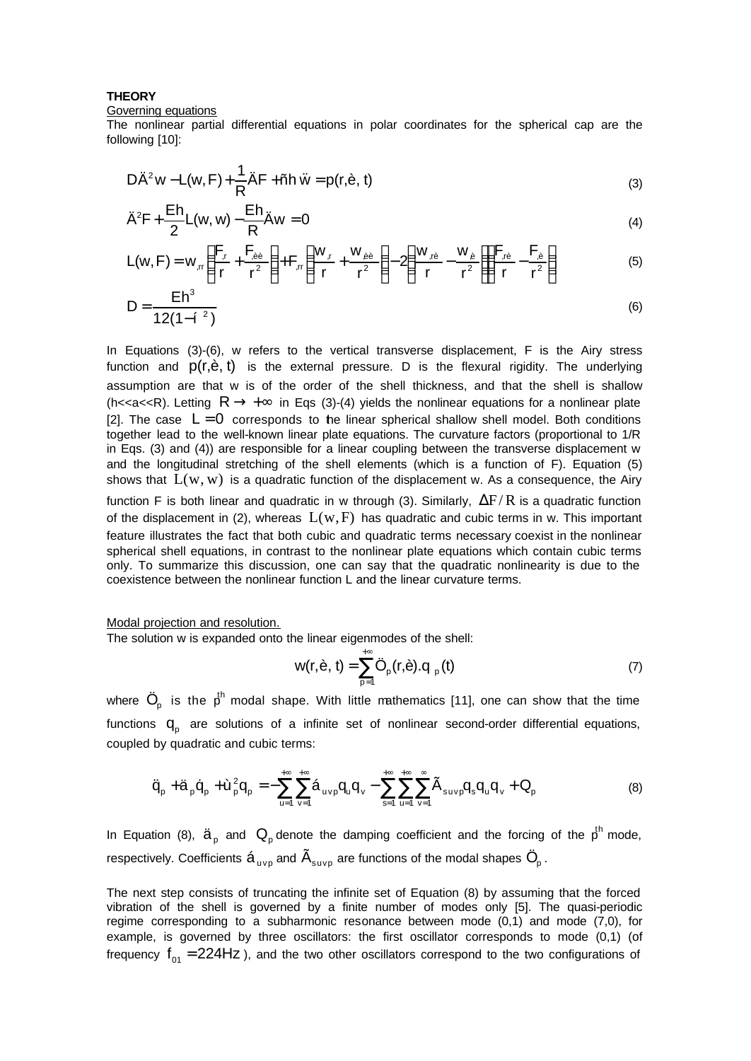## **THEORY**

### Governing equations

The nonlinear partial differential equations in polar coordinates for the spherical cap are the following [10]:

$$
D\ddot{A}^2 w - L(w, F) + \frac{1}{R}\ddot{A}F + \tilde{n}h \ddot{w} = p(r, \dot{e}, t)
$$
\n(3)

$$
\ddot{A}^2F + \frac{Eh}{2}L(w, w) - \frac{Eh}{R}\ddot{A}w = 0
$$
\n(4)

$$
L(w, F) = w_{,rr} \left( \frac{F_{,r}}{r} + \frac{F_{,\dot{e}\dot{e}}}{r^2} \right) + F_{,rr} \left( \frac{w_{,r}}{r} + \frac{w_{,\dot{e}\dot{e}}}{r^2} \right) - 2 \left( \frac{w_{,r\dot{e}}}{r} - \frac{w_{,\dot{e}}}{r^2} \right) \left( \frac{F_{,r\dot{e}}}{r} - \frac{F_{,\dot{e}}}{r^2} \right)
$$
(5)

$$
D = \frac{Eh^3}{12(1-i^{-2})}
$$
 (6)

In Equations (3)-(6), w refers to the vertical transverse displacement, F is the Airy stress function and  $p(r, \dot{e}, t)$  is the external pressure. D is the flexural rigidity. The underlying assumption are that w is of the order of the shell thickness, and that the shell is shallow (h<<a<<R). Letting R  $\rightarrow +\infty$  in Eqs (3)-(4) yields the nonlinear equations for a nonlinear plate [2]. The case  $L = 0$  corresponds to the linear spherical shallow shell model. Both conditions together lead to the well-known linear plate equations. The curvature factors (proportional to 1/R in Eqs. (3) and (4)) are responsible for a linear coupling between the transverse displacement w and the longitudinal stretching of the shell elements (which is a function of F). Equation (5) shows that  $L(w, w)$  is a quadratic function of the displacement w. As a consequence, the Airy function F is both linear and quadratic in w through (3). Similarly,  $\Delta F/R$  is a quadratic function of the displacement in (2), whereas  $L(w, F)$  has quadratic and cubic terms in w. This important feature illustrates the fact that both cubic and quadratic terms necessary coexist in the nonlinear spherical shell equations, in contrast to the nonlinear plate equations which contain cubic terms only. To summarize this discussion, one can say that the quadratic nonlinearity is due to the coexistence between the nonlinear function L and the linear curvature terms.

#### Modal projection and resolution.

The solution w is expanded onto the linear eigenmodes of the shell:

$$
w(r, \dot{e}, t) = \sum_{p=1}^{+\infty} \ddot{O}_p(r, \dot{e}).q_p(t)
$$
 (7)

where  $\ddot{\text{O}}_{\text{p}}$  is the  $\bm{\mathfrak{p}}^{\text{h}}$  modal shape. With little mathematics [11], one can show that the time functions  $q_{\text{p}}$  are solutions of a infinite set of nonlinear second-order differential equations, coupled by quadratic and cubic terms:

$$
\ddot{q}_{p} + \ddot{a}_{p}\dot{q}_{p} + \dot{u}_{p}^{2}q_{p} = -\sum_{u=1}^{+\infty}\sum_{v=1}^{+\infty}\dot{a}_{uvp}q_{u}q_{v} - \sum_{s=1}^{+\infty}\sum_{u=1}^{+\infty}\sum_{v=1}^{\infty}\tilde{A}_{suvp}q_{s}q_{u}q_{v} + Q_{p}
$$
(8)

In Equation (8),  $\ddot{a}_{p}$  and  $Q_{p}$  denote the damping coefficient and the forcing of the  $p^{th}$  mode, respectively. Coefficients  $\mathtt{\acute{a}}_{_{\mathrm{uvp}}}$  and  $\mathtt{\tilde{A}}_{_{\mathrm{supp}}}$  are functions of the modal shapes  $\ddot{\mathrm{O}}_{_{\mathrm{p}}}$  .

The next step consists of truncating the infinite set of Equation (8) by assuming that the forced vibration of the shell is governed by a finite number of modes only [5]. The quasi-periodic regime corresponding to a subharmonic resonance between mode  $(0,1)$  and mode  $(7,0)$ , for example, is governed by three oscillators: the first oscillator corresponds to mode (0,1) (of frequency  $f_{o1}$  = 224Hz ), and the two other oscillators correspond to the two configurations of